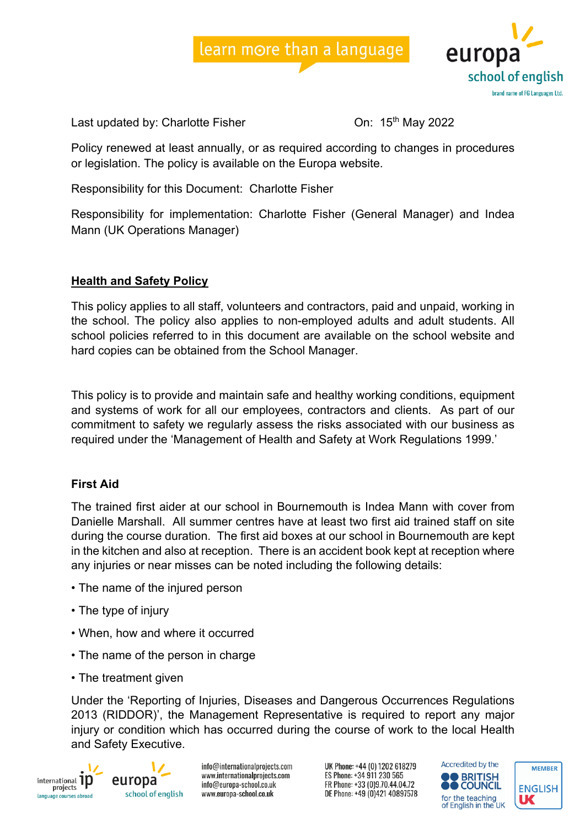



Last updated by: Charlotte Fisher Charlotte Fisher China 15<sup>th</sup> May 2022

Policy renewed at least annually, or as required according to changes in procedures or legislation. The policy is available on the Europa website.

Responsibility for this Document: Charlotte Fisher

Responsibility for implementation: Charlotte Fisher (General Manager) and Indea Mann (UK Operations Manager)

# **Health and Safety Policy**

This policy applies to all staff, volunteers and contractors, paid and unpaid, working in the school. The policy also applies to non-employed adults and adult students. All school policies referred to in this document are available on the school website and hard copies can be obtained from the School Manager.

This policy is to provide and maintain safe and healthy working conditions, equipment and systems of work for all our employees, contractors and clients. As part of our commitment to safety we regularly assess the risks associated with our business as required under the 'Management of Health and Safety at Work Regulations 1999.'

# **First Aid**

The trained first aider at our school in Bournemouth is Indea Mann with cover from Danielle Marshall. All summer centres have at least two first aid trained staff on site during the course duration. The first aid boxes at our school in Bournemouth are kept in the kitchen and also at reception. There is an accident book kept at reception where any injuries or near misses can be noted including the following details:

- The name of the injured person
- The type of injury
- When, how and where it occurred
- The name of the person in charge
- The treatment given

Under the 'Reporting of Injuries, Diseases and Dangerous Occurrences Regulations 2013 (RIDDOR)', the Management Representative is required to report any major injury or condition which has occurred during the course of work to the local Health and Safety Executive.



europa school of english info@internationalprojects.com www.internationalprojects.com info@europa-school.co.uk www.europa-school.co.uk

UK Phone: +44 (0) 1202 618279 ES Phone: +34 911 230 565 FR Phone: +33 (0)9.70.44.04.72 DE Phone: +49 (0)421 40897578



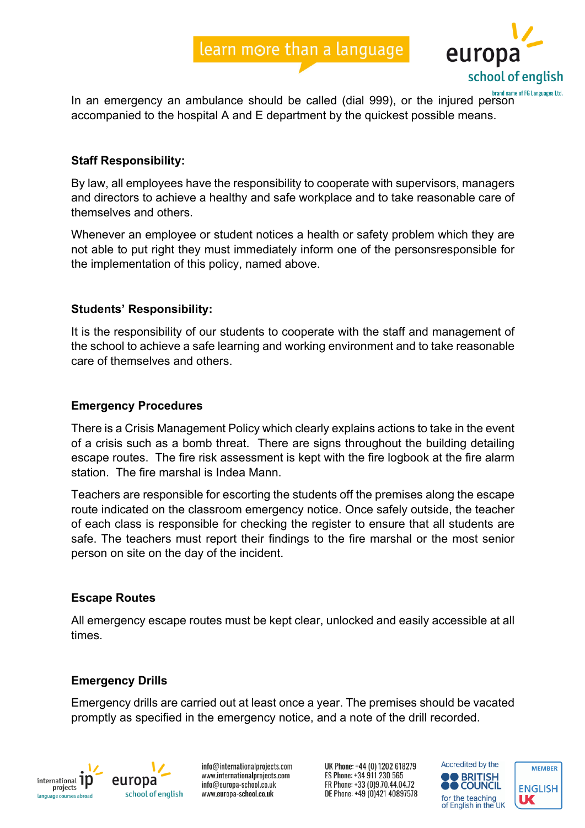



In an emergency an ambulance should be called (dial 999), or the injured person accompanied to the hospital A and E department by the quickest possible means.

## **Staff Responsibility:**

By law, all employees have the responsibility to cooperate with supervisors, managers and directors to achieve a healthy and safe workplace and to take reasonable care of themselves and others.

Whenever an employee or student notices a health or safety problem which they are not able to put right they must immediately inform one of the personsresponsible for the implementation of this policy, named above.

## **Students' Responsibility:**

It is the responsibility of our students to cooperate with the staff and management of the school to achieve a safe learning and working environment and to take reasonable care of themselves and others.

#### **Emergency Procedures**

There is a Crisis Management Policy which clearly explains actions to take in the event of a crisis such as a bomb threat. There are signs throughout the building detailing escape routes. The fire risk assessment is kept with the fire logbook at the fire alarm station. The fire marshal is Indea Mann.

Teachers are responsible for escorting the students off the premises along the escape route indicated on the classroom emergency notice. Once safely outside, the teacher of each class is responsible for checking the register to ensure that all students are safe. The teachers must report their findings to the fire marshal or the most senior person on site on the day of the incident.

#### **Escape Routes**

All emergency escape routes must be kept clear, unlocked and easily accessible at all times.

## **Emergency Drills**

Emergency drills are carried out at least once a year. The premises should be vacated promptly as specified in the emergency notice, and a note of the drill recorded.



europa school of english

info@internationalprojects.com www.internationalprojects.com info@europa-school.co.uk www.europa-school.co.uk

UK Phone: +44 (0) 1202 618279 ES Phone: +34 911 230 565 FR Phone: +33 (0)9.70.44.04.72 DE Phone: +49 (0)421 40897578



**MEMBER**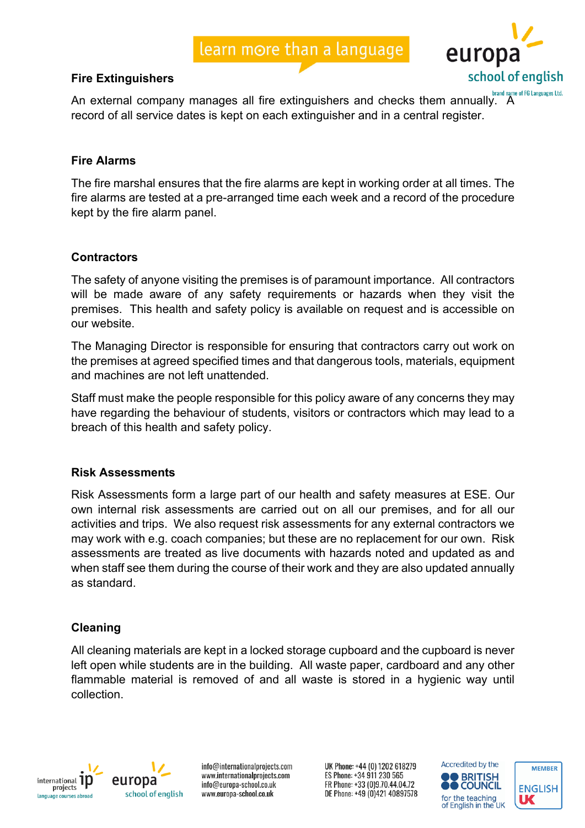## **Fire Extinguishers**

euror school of english

An external company manages all fire extinguishers and checks them annually. A record of all service dates is kept on each extinguisher and in a central register.

## **Fire Alarms**

The fire marshal ensures that the fire alarms are kept in working order at all times. The fire alarms are tested at a pre-arranged time each week and a record of the procedure kept by the fire alarm panel.

## **Contractors**

The safety of anyone visiting the premises is of paramount importance. All contractors will be made aware of any safety requirements or hazards when they visit the premises. This health and safety policy is available on request and is accessible on our website.

The Managing Director is responsible for ensuring that contractors carry out work on the premises at agreed specified times and that dangerous tools, materials, equipment and machines are not left unattended.

Staff must make the people responsible for this policy aware of any concerns they may have regarding the behaviour of students, visitors or contractors which may lead to a breach of this health and safety policy.

#### **Risk Assessments**

Risk Assessments form a large part of our health and safety measures at ESE. Our own internal risk assessments are carried out on all our premises, and for all our activities and trips. We also request risk assessments for any external contractors we may work with e.g. coach companies; but these are no replacement for our own. Risk assessments are treated as live documents with hazards noted and updated as and when staff see them during the course of their work and they are also updated annually as standard.

## **Cleaning**

All cleaning materials are kept in a locked storage cupboard and the cupboard is never left open while students are in the building. All waste paper, cardboard and any other flammable material is removed of and all waste is stored in a hygienic way until collection.





info@internationalprojects.com www.internationalprojects.com info@europa-school.co.uk www.europa-school.co.uk

UK Phone: +44 (0) 1202 618279 ES Phone: +34 911 230 565 FR Phone: +33 (0)9.70.44.04.72 DE Phone: +49 (0)421 40897578